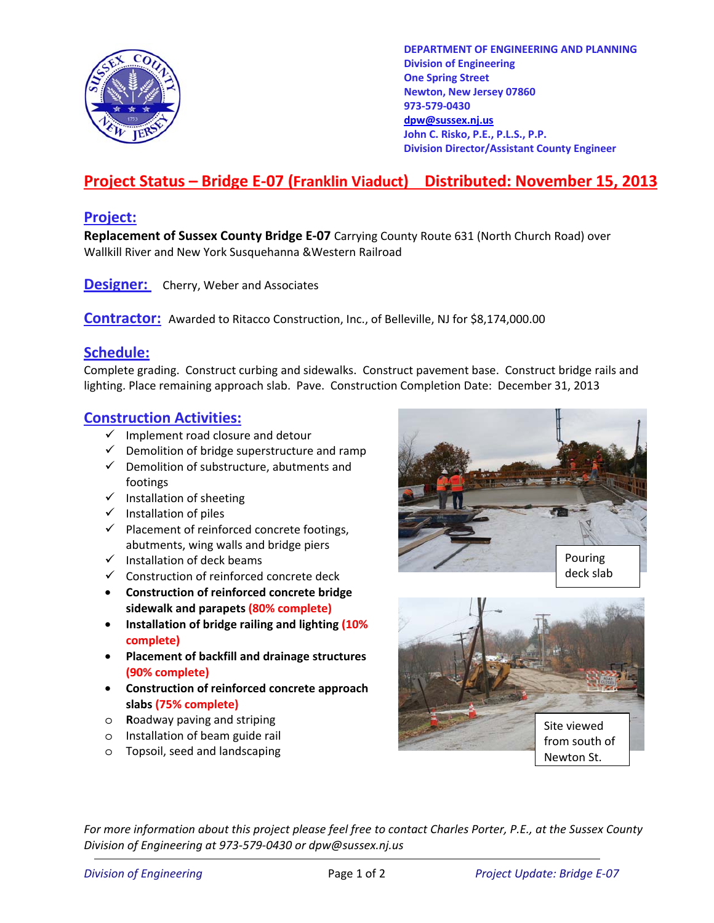

**DEPARTMENT OF ENGINEERING AND PLANNING Division of Engineering One Spring Street Newton, New Jersey 07860 973-579-0430 dpw@sussex.nj.us John C. Risko, P.E., P.L.S., P.P. Division Director/Assistant County Engineer** 

# **Project Status – Bridge E-07 (Franklin Viaduct) Distributed: November 15, 2013**

### **Project:**

**Replacement of Sussex County Bridge E-07** Carrying County Route 631 (North Church Road) over Wallkill River and New York Susquehanna &Western Railroad

**Designer:** Cherry, Weber and Associates

**Contractor:** Awarded to Ritacco Construction, Inc., of Belleville, NJ for \$8,174,000.00

## **Schedule:**

Complete grading. Construct curbing and sidewalks. Construct pavement base. Construct bridge rails and lighting. Place remaining approach slab. Pave. Construction Completion Date: December 31, 2013

### **Construction Activities:**

- $\checkmark$  Implement road closure and detour
- $\checkmark$  Demolition of bridge superstructure and ramp
- $\checkmark$  Demolition of substructure, abutments and footings
- $\checkmark$  Installation of sheeting
- $\checkmark$  Installation of piles
- $\checkmark$  Placement of reinforced concrete footings, abutments, wing walls and bridge piers
- $\checkmark$  Installation of deck beams
- $\checkmark$  Construction of reinforced concrete deck
- **Construction of reinforced concrete bridge sidewalk and parapets (80% complete)**
- **Installation of bridge railing and lighting (10% complete)**
- **Placement of backfill and drainage structures (90% complete)**
- **Construction of reinforced concrete approach slabs (75% complete)**
- o **R**oadway paving and striping
- o Installation of beam guide rail
- o Topsoil, seed and landscaping





*For more information about this project please feel free to contact Charles Porter, P.E., at the Sussex County Division of Engineering at 973-579-0430 or dpw@sussex.nj.us*